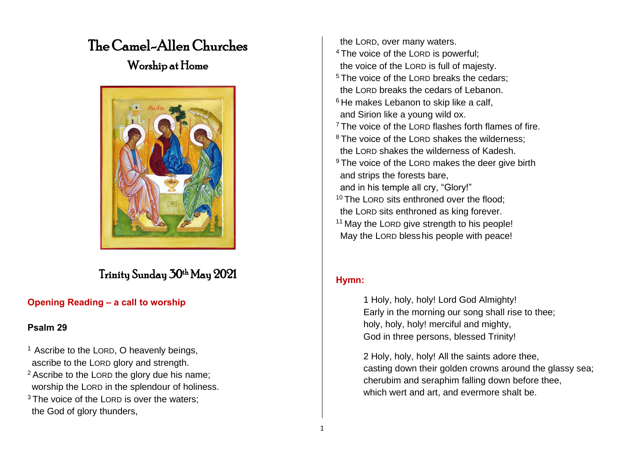# The Camel-Allen Churches

## Worship at Home



## Trinity Sunday 30th May 2021

### **Opening Reading – a call to worship**

#### **Psalm 29**

- <sup>1</sup> Ascribe to the LORD, O heavenly beings, ascribe to the LORD glory and strength. <sup>2</sup> Ascribe to the LORD the glory due his name; worship the LORD in the splendour of holiness. <sup>3</sup> The voice of the LORD is over the waters:
- the God of glory thunders,

 the LORD, over many waters. <sup>4</sup> The voice of the LORD is powerful; the voice of the LORD is full of majesty. <sup>5</sup> The voice of the LORD breaks the cedars: the LORD breaks the cedars of Lebanon. <sup>6</sup> He makes Lebanon to skip like a calf, and Sirion like a young wild ox. <sup>7</sup> The voice of the LORD flashes forth flames of fire. <sup>8</sup> The voice of the LORD shakes the wilderness: the LORD shakes the wilderness of Kadesh. <sup>9</sup> The voice of the LORD makes the deer give birth and strips the forests bare, and in his temple all cry, "Glory!" <sup>10</sup> The LORD sits enthroned over the flood: the LORD sits enthroned as king forever. <sup>11</sup> May the LORD give strength to his people! May the LORD blesshis people with peace!

#### **Hymn:**

1 Holy, holy, holy! Lord God Almighty! Early in the morning our song shall rise to thee; holy, holy, holy! merciful and mighty, God in three persons, blessed Trinity!

2 Holy, holy, holy! All the saints adore thee, casting down their golden crowns around the glassy sea; cherubim and seraphim falling down before thee, which wert and art, and evermore shalt be.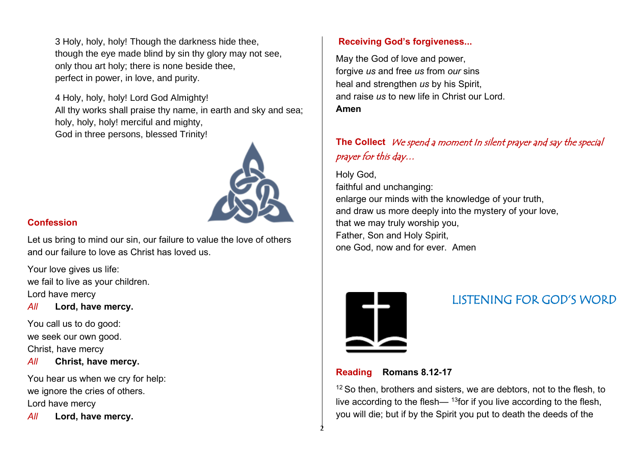3 Holy, holy, holy! Though the darkness hide thee, though the eye made blind by sin thy glory may not see, only thou art holy; there is none beside thee, perfect in power, in love, and purity.

4 Holy, holy, holy! Lord God Almighty! All thy works shall praise thy name, in earth and sky and sea; holy, holy, holy! merciful and mighty, God in three persons, blessed Trinity!



#### **Confession**

Let us bring to mind our sin, our failure to value the love of others and our failure to love as Christ has loved us.

Your love gives us life: we fail to live as your children. Lord have mercy

*All* **Lord, have mercy.**

You call us to do good: we seek our own good. Christ, have mercy

*All* **Christ, have mercy.**

You hear us when we cry for help: we ignore the cries of others. Lord have mercy

*All* **Lord, have mercy.**

#### **Receiving God's forgiveness...**

May the God of love and power, forgive *us* and free *us* from *our* sins heal and strengthen *us* by his Spirit, and raise *us* to new life in Christ our Lord. **Amen**

### **The Collect** We spend a moment In silent prayer and say the special prayer for this day…

Holy God, faithful and unchanging: enlarge our minds with the knowledge of your truth, and draw us more deeply into the mystery of your love, that we may truly worship you, Father, Son and Holy Spirit, one God, now and for ever. Amen



2

## LISTENING FOR GOD'S WORD

#### **Reading Romans 8.12-17**

 $12$  So then, brothers and sisters, we are debtors, not to the flesh, to live according to the flesh—  $^{13}$  for if you live according to the flesh, you will die; but if by the Spirit you put to death the deeds of the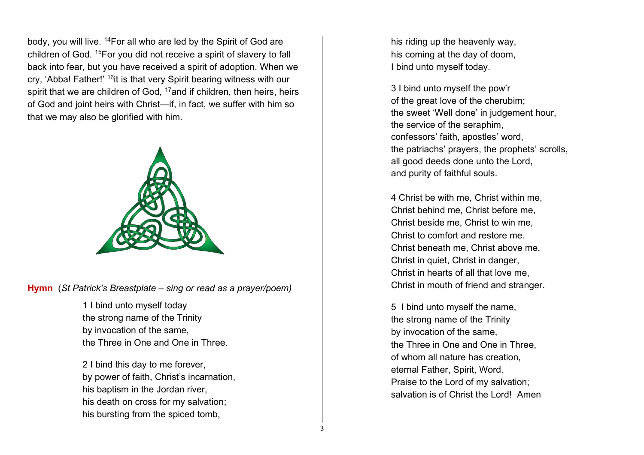body, you will live. <sup>14</sup>For all who are led by the Spirit of God are children of God. <sup>15</sup>For you did not receive a spirit of slavery to fall back into fear, but you have received a spirit of adoption. When we cry, 'Abba! Father!' <sup>16</sup>it is that very Spirit bearing witness with our spirit that we are children of God, <sup>17</sup>and if children, then heirs, heirs of God and joint heirs with Christ—if, in fact, we suffer with him so that we may also be glorified with him.



**Hymn** (*St Patrick's Breastplate – sing or read as a prayer/poem)*

1 I bind unto myself today the strong name of the Trinity by invocation of the same, the Three in One and One in Three.

2 I bind this day to me forever, by power of faith, Christ's incarnation, his baptism in the Jordan river, his death on cross for my salvation; his bursting from the spiced tomb,

his riding up the heavenly way, his coming at the day of doom, I bind unto myself today.

3 I bind unto myself the pow'r of the great love of the cherubim; the sweet 'Well done' in judgement hour, the service of the seraphim, confessors' faith, apostles' word, the patriachs' prayers, the prophets' scrolls, all good deeds done unto the Lord, and purity of faithful souls.

4 Christ be with me, Christ within me, Christ behind me, Christ before me, Christ beside me, Christ to win me, Christ to comfort and restore me. Christ beneath me, Christ above me, Christ in quiet, Christ in danger, Christ in hearts of all that love me, Christ in mouth of friend and stranger.

5 I bind unto myself the name, the strong name of the Trinity by invocation of the same, the Three in One and One in Three, of whom all nature has creation, eternal Father, Spirit, Word. Praise to the Lord of my salvation; salvation is of Christ the Lord! Amen

3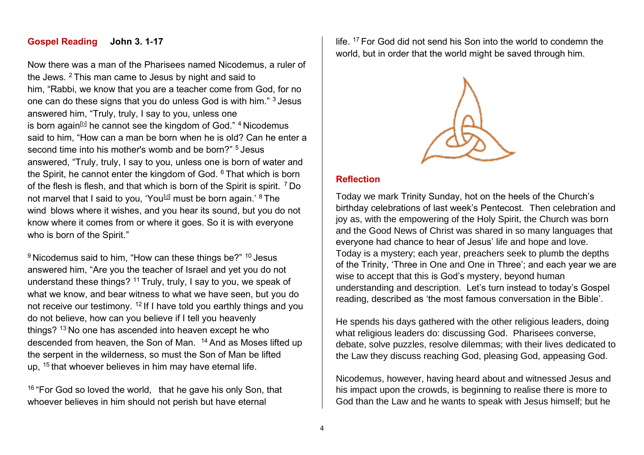#### **Gospel Reading John 3. 1-17**

Now there was a man of the Pharisees named Nicodemus, a ruler of the Jews. <sup>2</sup> This man came to Jesus by night and said to him, "Rabbi, we know that you are a teacher come from God, for no one can do these signs that you do unless God is with him." <sup>3</sup> Jesus answered him, "Truly, truly, I say to you, unless one is born again<sup>[\[b\]](https://www.biblegateway.com/passage/?search=John+3&version=ESV#fen-ESV-26113b)</sup> he cannot see the kingdom of God."  $4$  Nicodemus said to him, "How can a man be born when he is old? Can he enter a second time into his mother's womb and be born?" <sup>5</sup> Jesus answered, "Truly, truly, I say to you, unless one is born of water and the Spirit, he cannot enter the kingdom of God. <sup>6</sup> That which is born of the flesh is flesh, and that which is born of the Spirit is spirit. <sup>7</sup> Do not marvel that I said to you, 'You<sup>[\[d\]](https://www.biblegateway.com/passage/?search=John+3&version=ESV#fen-ESV-26117d)</sup> must be born again.'  $8$  The wind blows where it wishes, and you hear its sound, but you do not know where it comes from or where it goes. So it is with everyone who is born of the Spirit."

9 Nicodemus said to him, "How can these things be?" <sup>10</sup> Jesus answered him, "Are you the teacher of Israel and yet you do not understand these things? <sup>11</sup> Truly, truly, I say to you, we speak of what we know, and bear witness to what we have seen, but you do not receive our testimony. <sup>12</sup> If I have told you earthly things and you do not believe, how can you believe if I tell you heavenly things? <sup>13</sup> No one has ascended into heaven except he who descended from heaven, the Son of Man. <sup>14</sup> And as Moses lifted up the serpent in the wilderness, so must the Son of Man be lifted up, <sup>15</sup> that whoever believes in him may have eternal life.

<sup>16</sup> "For God so loved the world, that he gave his only Son, that whoever believes in him should not perish but have eternal

life. <sup>17</sup> For God did not send his Son into the world to condemn the world, but in order that the world might be saved through him.



#### **Reflection**

Today we mark Trinity Sunday, hot on the heels of the Church's birthday celebrations of last week's Pentecost. Then celebration and joy as, with the empowering of the Holy Spirit, the Church was born and the Good News of Christ was shared in so many languages that everyone had chance to hear of Jesus' life and hope and love. Today is a mystery; each year, preachers seek to plumb the depths of the Trinity, 'Three in One and One in Three'; and each year we are wise to accept that this is God's mystery, beyond human understanding and description. Let's turn instead to today's Gospel reading, described as 'the most famous conversation in the Bible'.

He spends his days gathered with the other religious leaders, doing what religious leaders do: discussing God. Pharisees converse, debate, solve puzzles, resolve dilemmas; with their lives dedicated to the Law they discuss reaching God, pleasing God, appeasing God.

Nicodemus, however, having heard about and witnessed Jesus and his impact upon the crowds, is beginning to realise there is more to God than the Law and he wants to speak with Jesus himself; but he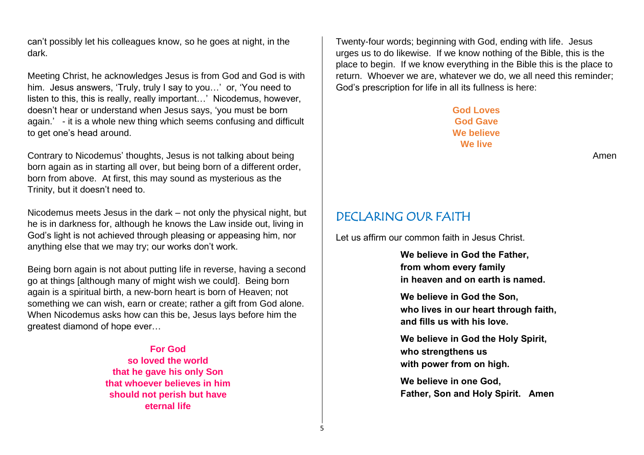can't possibly let his colleagues know, so he goes at night, in the dark.

Meeting Christ, he acknowledges Jesus is from God and God is with him. Jesus answers, 'Truly, truly I say to you…' or, 'You need to listen to this, this is really, really important…' Nicodemus, however, doesn't hear or understand when Jesus says, 'you must be born again.' - it is a whole new thing which seems confusing and difficult to get one's head around.

Contrary to Nicodemus' thoughts, Jesus is not talking about being born again as in starting all over, but being born of a different order, born from above. At first, this may sound as mysterious as the Trinity, but it doesn't need to.

Nicodemus meets Jesus in the dark – not only the physical night, but he is in darkness for, although he knows the Law inside out, living in God's light is not achieved through pleasing or appeasing him, nor anything else that we may try; our works don't work.

Being born again is not about putting life in reverse, having a second go at things [although many of might wish we could]. Being born again is a spiritual birth, a new-born heart is born of Heaven; not something we can wish, earn or create; rather a gift from God alone. When Nicodemus asks how can this be, Jesus lays before him the greatest diamond of hope ever…

> **For God so loved the world that he gave his only Son that whoever believes in him should not perish but have eternal life**

Twenty-four words; beginning with God, ending with life. Jesus urges us to do likewise. If we know nothing of the Bible, this is the place to begin. If we know everything in the Bible this is the place to return. Whoever we are, whatever we do, we all need this reminder; God's prescription for life in all its fullness is here:

> **God Loves God Gave We believe We live**

> > Amen

### DECLARING OUR FAITH

Let us affirm our common faith in Jesus Christ.

**We believe in God the Father, from whom every family in heaven and on earth is named.**

**We believe in God the Son, who lives in our heart through faith, and fills us with his love.**

**We believe in God the Holy Spirit, who strengthens us with power from on high.**

**We believe in one God, Father, Son and Holy Spirit. Amen** 

5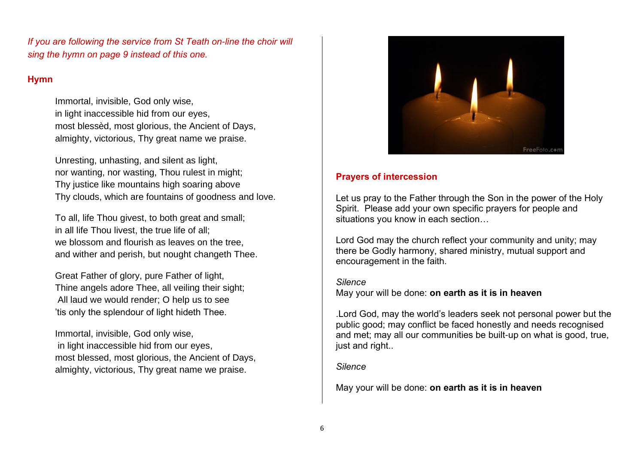*If you are following the service from St Teath on-line the choir will sing the hymn on page 9 instead of this one.* 

### **Hymn**

Immortal, invisible, God only wise, in light inaccessible hid from our eyes, most blessèd, most glorious, the Ancient of Days, almighty, victorious, Thy great name we praise.

Unresting, unhasting, and silent as light, nor wanting, nor wasting, Thou rulest in might; Thy justice like mountains high soaring above Thy clouds, which are fountains of goodness and love.

To all, life Thou givest, to both great and small; in all life Thou livest, the true life of all; we blossom and flourish as leaves on the tree, and wither and perish, but nought changeth Thee.

Great Father of glory, pure Father of light, Thine angels adore Thee, all veiling their sight; All laud we would render; O help us to see 'tis only the splendour of light hideth Thee.

Immortal, invisible, God only wise, in light inaccessible hid from our eyes, most blessed, most glorious, the Ancient of Days, almighty, victorious, Thy great name we praise.



### **Prayers of intercession**

Let us pray to the Father through the Son in the power of the Holy Spirit. Please add your own specific prayers for people and situations you know in each section…

Lord God may the church reflect your community and unity; may there be Godly harmony, shared ministry, mutual support and encouragement in the faith.

#### *Silence* May your will be done: **on earth as it is in heaven**

.Lord God, may the world's leaders seek not personal power but the public good; may conflict be faced honestly and needs recognised and met; may all our communities be built-up on what is good, true, just and right...

#### *Silence*

May your will be done: **on earth as it is in heaven**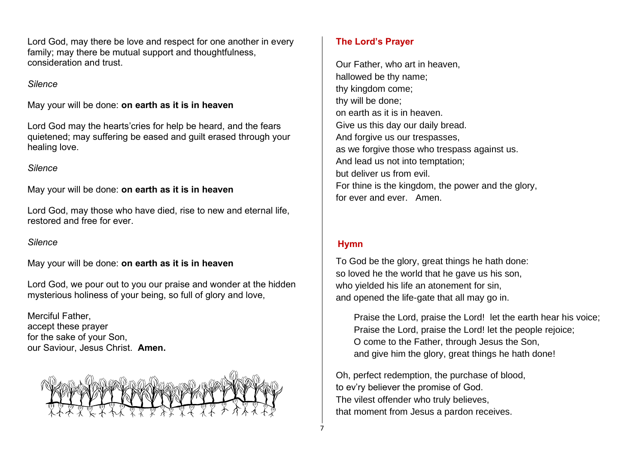Lord God, may there be love and respect for one another in every family; may there be mutual support and thoughtfulness, consideration and trust.

#### *Silence*

May your will be done: **on earth as it is in heaven**

Lord God may the hearts'cries for help be heard, and the fears quietened; may suffering be eased and guilt erased through your healing love.

### *Silence*

May your will be done: **on earth as it is in heaven**

Lord God, may those who have died, rise to new and eternal life, restored and free for ever.

#### *Silence*

May your will be done: **on earth as it is in heaven**

Lord God, we pour out to you our praise and wonder at the hidden mysterious holiness of your being, so full of glory and love,

Merciful Father, accept these prayer for the sake of your Son, our Saviour, Jesus Christ. **Amen.**



### **The Lord's Prayer**

Our Father, who art in heaven, hallowed be thy name; thy kingdom come; thy will be done; on earth as it is in heaven. Give us this day our daily bread. And forgive us our trespasses, as we forgive those who trespass against us. And lead us not into temptation; but deliver us from evil. For thine is the kingdom, the power and the glory, for ever and ever. Amen.

### **Hymn**

To God be the glory, great things he hath done: so loved he the world that he gave us his son, who yielded his life an atonement for sin, and opened the life-gate that all may go in.

 Praise the Lord, praise the Lord! let the earth hear his voice; Praise the Lord, praise the Lord! let the people rejoice; O come to the Father, through Jesus the Son, and give him the glory, great things he hath done!

Oh, perfect redemption, the purchase of blood, to ev'ry believer the promise of God. The vilest offender who truly believes, that moment from Jesus a pardon receives.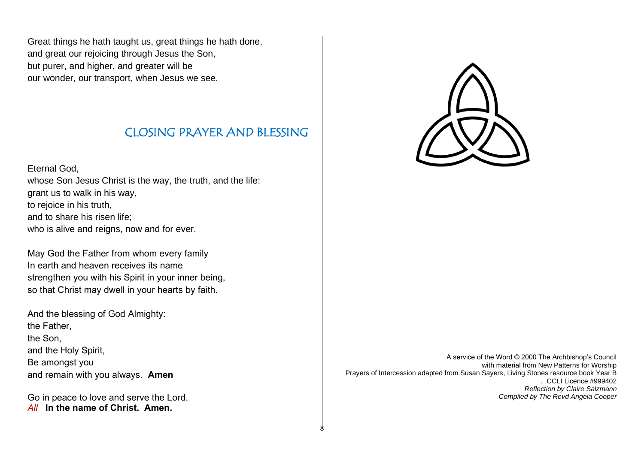Great things he hath taught us, great things he hath done, and great our rejoicing through Jesus the Son, but purer, and higher, and greater will be our wonder, our transport, when Jesus we see.

## CLOSING PRAYER AND BLESSING

8

Eternal God,

whose Son Jesus Christ is the way, the truth, and the life: grant us to walk in his way, to rejoice in his truth, and to share his risen life; who is alive and reigns, now and for ever.

May God the Father from whom every family In earth and heaven receives its name strengthen you with his Spirit in your inner being, so that Christ may dwell in your hearts by faith.

And the blessing of God Almighty: the Father, the Son, and the Holy Spirit, Be amongst you and remain with you always. **Amen**

Go in peace to love and serve the Lord. *All* **In the name of Christ. Amen.**



A service of the Word © 2000 The Archbishop's Council with material from New Patterns for Worship Prayers of Intercession adapted from Susan Sayers, Living Stones resource book Year B . CCLI Licence #999402 *Reflection by Claire Salzmann Compiled by The Revd Angela Cooper*